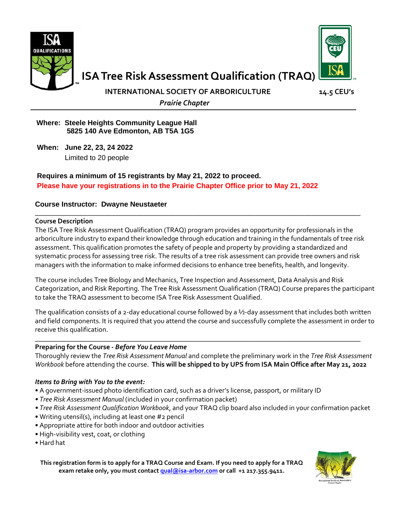



**ISA Tree Risk Assessment Qualification (TRAQ)**

**INTERNATIONAL SOCIETY OF ARBORICULTURE 14.5 CEU's** 

 *Prairie Chapter*

#### **Where: Steele Heights Community League Hall 5825 140 Ave Edmonton, AB T5A 1G5**

**When: June 22, 23, 24 2022** Limited to 20 people

### **Requires a minimum of 15 registrants by May 21, 2022 to proceed. Please have your registrations in to the Prairie Chapter Office prior to May 21, 2022**

### **Course Instructor: Dwayne Neustaeter**

#### **\_\_\_\_\_\_\_\_\_\_\_\_\_\_\_\_\_\_\_\_\_\_\_\_\_\_\_\_\_\_\_\_\_\_\_\_\_\_\_\_\_\_\_\_\_\_\_\_\_\_\_\_\_\_\_\_\_\_\_\_\_\_\_\_\_\_\_\_\_\_\_\_\_\_\_\_\_\_\_\_\_\_\_\_\_\_\_\_\_\_\_\_\_ Course Description**

The ISA Tree Risk Assessment Qualification (TRAQ) program provides an opportunity for professionals in the arboriculture industry to expand their knowledge through education and training in the fundamentals of tree risk assessment. This qualification promotes the safety of people and property by providing a standardized and systematic process for assessing tree risk. The results of a tree risk assessment can provide tree owners and risk managers with the information to make informed decisions to enhance tree benefits, health, and longevity.

The course includes Tree Biology and Mechanics, Tree Inspection and Assessment, Data Analysis and Risk Categorization, and Risk Reporting. The Tree Risk Assessment Qualification (TRAQ) Course prepares the participant to take the TRAQ assessment to become ISA Tree Risk Assessment Qualified.

The qualification consists of a 2-day educational course followed by a  $\frac{1}{2}$ -day assessment that includes both written and field components. It is required that you attend the course and successfully complete the assessment in order to receive this qualification.

#### **\_\_\_\_\_\_\_\_\_\_\_\_\_\_\_\_\_\_\_\_\_\_\_\_\_\_\_\_\_\_\_\_\_\_\_\_\_\_\_\_\_\_\_\_\_\_\_\_\_\_\_\_\_\_\_\_\_\_\_\_\_\_\_\_\_\_\_\_\_\_\_\_\_\_\_\_\_\_\_\_\_\_\_\_\_\_\_\_\_\_\_\_\_ Preparing for the Course -** *Before You Leave Home*

Thoroughly review the *Tree Risk Assessment Manual* and complete the preliminary work in the *Tree Risk Assessment Workbook* before attending the course. **This will be shipped to by UPS from ISA Main Office after May 21, 2022**

#### *Items to Bring with You to the event:*

- A government-issued photo identification card, such as a driver's license, passport, or military ID
- *Tree Risk Assessment Manual* (included in your confirmation packet)
- *Tree Risk Assessment Qualification Workbook*, and your TRAQ clip board also included in your confirmation packet
- Writing utensil(s), including at least one #2 pencil
- Appropriate attire for both indoor and outdoor activities
- High-visibility vest, coat, or clothing
- Hard hat

**This registration form is to apply for a TRAQ Course and Exam. If you need to apply for a TRAQ exam retake only, you must contac[t qual@isa-arbor.com](mailto:qual@isa-arbor.com) or call +1 217.355.9411.**

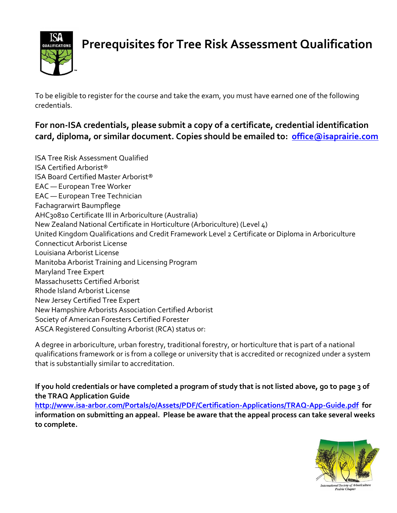

# **Prerequisites for Tree Risk Assessment Qualification**

To be eligible to register for the course and take the exam, you must have earned one of the following credentials.

## **For non-ISA credentials, please submit a copy of a certificate, credential identification card, diploma, or similar document. Copies should be emailed to: [office@isaprairie.com](mailto:office@isaprairie.com)**

ISA Tree Risk Assessment Qualified ISA Certified Arborist® ISA Board Certified Master Arborist® EAC — European Tree Worker EAC — European Tree Technician Fachagrarwirt Baumpflege AHC30810 Certificate III in Arboriculture (Australia) New Zealand National Certificate in Horticulture (Arboriculture) (Level 4) United Kingdom Qualifications and Credit Framework Level 2 Certificate or Diploma in Arboriculture Connecticut Arborist License Louisiana Arborist License Manitoba Arborist Training and Licensing Program Maryland Tree Expert Massachusetts Certified Arborist Rhode Island Arborist License New Jersey Certified Tree Expert New Hampshire Arborists Association Certified Arborist Society of American Foresters Certified Forester ASCA Registered Consulting Arborist (RCA) status or:

A degree in arboriculture, urban forestry, traditional forestry, or horticulture that is part of a national qualifications framework or is from a college or university that is accredited or recognized under a system that is substantially similar to accreditation.

**If you hold credentials or have completed a program of study that is not listed above, go to page 3 of the TRAQ Application Guide <http://www.isa-arbor.com/Portals/0/Assets/PDF/Certification-Applications/TRAQ-App-Guide.pdf>for** 

**information on submitting an appeal. Please be aware that the appeal process can take several weeks to complete.** 

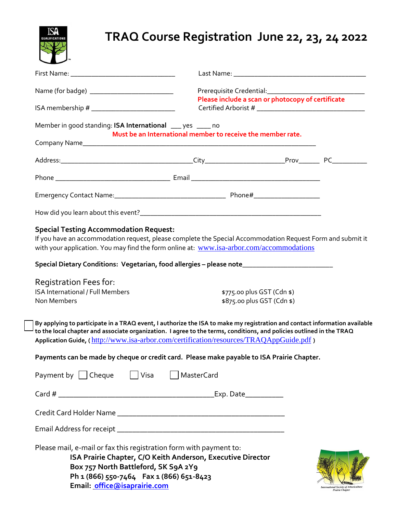## **TRAQ Course Registration June 22, 23, 24 2022**

| Name (for badge) _____________________________                                                                                                                                                        |                                                                                                                                                                                                        | Please include a scan or photocopy of certificate        |  |
|-------------------------------------------------------------------------------------------------------------------------------------------------------------------------------------------------------|--------------------------------------------------------------------------------------------------------------------------------------------------------------------------------------------------------|----------------------------------------------------------|--|
| ISA membership # ______________________________                                                                                                                                                       |                                                                                                                                                                                                        |                                                          |  |
| Member in good standing: ISA International ___ yes ____ no                                                                                                                                            | Must be an International member to receive the member rate.                                                                                                                                            |                                                          |  |
|                                                                                                                                                                                                       |                                                                                                                                                                                                        |                                                          |  |
|                                                                                                                                                                                                       |                                                                                                                                                                                                        |                                                          |  |
|                                                                                                                                                                                                       |                                                                                                                                                                                                        |                                                          |  |
|                                                                                                                                                                                                       |                                                                                                                                                                                                        |                                                          |  |
| <b>Special Testing Accommodation Request:</b>                                                                                                                                                         | If you have an accommodation request, please complete the Special Accommodation Request Form and submit it<br>with your application. You may find the form online at: www.isa-arbor.com/accommodations |                                                          |  |
|                                                                                                                                                                                                       |                                                                                                                                                                                                        |                                                          |  |
|                                                                                                                                                                                                       |                                                                                                                                                                                                        |                                                          |  |
|                                                                                                                                                                                                       |                                                                                                                                                                                                        |                                                          |  |
| Special Dietary Conditions: Vegetarian, food allergies - please note_______________________________<br><b>Registration Fees for:</b><br><b>ISA International / Full Members</b><br><b>Non Members</b> |                                                                                                                                                                                                        | \$775.00 plus GST (Cdn \$)<br>\$875.00 plus GST (Cdn \$) |  |

| Payment by   Cheque                                                | Visa     MasterCard |
|--------------------------------------------------------------------|---------------------|
|                                                                    |                     |
| Credit Card Holder Name                                            |                     |
| Email Address for receipt ________                                 |                     |
| Please mail, e-mail or fax this registration form with payment to: |                     |

**ISA Prairie Chapter, C/O Keith Anderson, Executive Director Box 757 North Battleford, SK S9A 2Y9 Ph 1 (866) 550-7464 Fax 1 (866) 651-8423 Email: [office@isaprairie.com](mailto:office@isaprairie.com)**